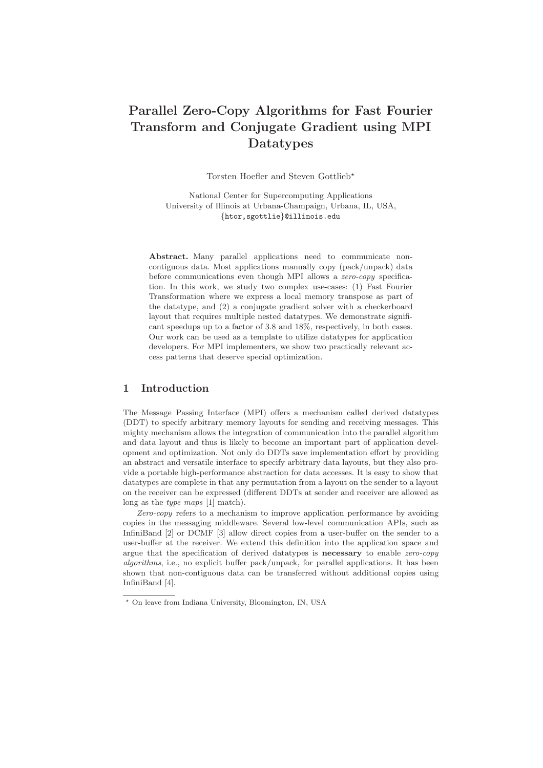# Parallel Zero-Copy Algorithms for Fast Fourier Transform and Conjugate Gradient using MPI Datatypes

Torsten Hoefler and Steven Gottlieb<sup>\*</sup>

National Center for Supercomputing Applications University of Illinois at Urbana-Champaign, Urbana, IL, USA, {htor,sgottlie}@illinois.edu

Abstract. Many parallel applications need to communicate noncontiguous data. Most applications manually copy (pack/unpack) data before communications even though MPI allows a zero-copy specification. In this work, we study two complex use-cases: (1) Fast Fourier Transformation where we express a local memory transpose as part of the datatype, and (2) a conjugate gradient solver with a checkerboard layout that requires multiple nested datatypes. We demonstrate significant speedups up to a factor of 3.8 and 18%, respectively, in both cases. Our work can be used as a template to utilize datatypes for application developers. For MPI implementers, we show two practically relevant access patterns that deserve special optimization.

## 1 Introduction

The Message Passing Interface (MPI) offers a mechanism called derived datatypes (DDT) to specify arbitrary memory layouts for sending and receiving messages. This mighty mechanism allows the integration of communication into the parallel algorithm and data layout and thus is likely to become an important part of application development and optimization. Not only do DDTs save implementation effort by providing an abstract and versatile interface to specify arbitrary data layouts, but they also provide a portable high-performance abstraction for data accesses. It is easy to show that datatypes are complete in that any permutation from a layout on the sender to a layout on the receiver can be expressed (different DDTs at sender and receiver are allowed as long as the *type maps* [1] match).

Zero-copy refers to a mechanism to improve application performance by avoiding copies in the messaging middleware. Several low-level communication APIs, such as InfiniBand [2] or DCMF [3] allow direct copies from a user-buffer on the sender to a user-buffer at the receiver. We extend this definition into the application space and argue that the specification of derived datatypes is **necessary** to enable *zero-copy* algorithms, i.e., no explicit buffer pack/unpack, for parallel applications. It has been shown that non-contiguous data can be transferred without additional copies using InfiniBand [4].

<sup>⋆</sup> On leave from Indiana University, Bloomington, IN, USA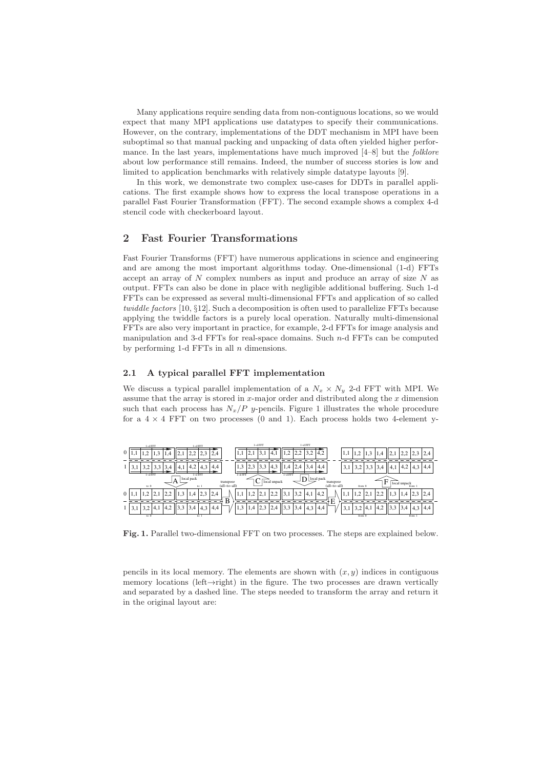Many applications require sending data from non-contiguous locations, so we would expect that many MPI applications use datatypes to specify their communications. However, on the contrary, implementations of the DDT mechanism in MPI have been suboptimal so that manual packing and unpacking of data often yielded higher performance. In the last years, implementations have much improved  $[4–8]$  but the *folklore* about low performance still remains. Indeed, the number of success stories is low and limited to application benchmarks with relatively simple datatype layouts [9].

In this work, we demonstrate two complex use-cases for DDTs in parallel applications. The first example shows how to express the local transpose operations in a parallel Fast Fourier Transformation (FFT). The second example shows a complex 4-d stencil code with checkerboard layout.

## 2 Fast Fourier Transformations

Fast Fourier Transforms (FFT) have numerous applications in science and engineering and are among the most important algorithms today. One-dimensional (1-d) FFTs accept an array of  $N$  complex numbers as input and produce an array of size  $N$  as output. FFTs can also be done in place with negligible additional buffering. Such 1-d FFTs can be expressed as several multi-dimensional FFTs and application of so called twiddle factors [10, §12]. Such a decomposition is often used to parallelize FFTs because applying the twiddle factors is a purely local operation. Naturally multi-dimensional FFTs are also very important in practice, for example, 2-d FFTs for image analysis and manipulation and 3-d FFTs for real-space domains. Such  $n$ -d FFTs can be computed by performing 1-d FFTs in all  $n$  dimensions.

### 2.1 A typical parallel FFT implementation

We discuss a typical parallel implementation of a  $N_x \times N_y$  2-d FFT with MPI. We assume that the array is stored in  $x$ -major order and distributed along the  $x$  dimension such that each process has  $N_x/P$  y-pencils. Figure 1 illustrates the whole procedure for a  $4 \times 4$  FFT on two processes (0 and 1). Each process holds two 4-element y-



Fig. 1. Parallel two-dimensional FFT on two processes. The steps are explained below.

pencils in its local memory. The elements are shown with  $(x, y)$  indices in contiguous memory locations (left→right) in the figure. The two processes are drawn vertically and separated by a dashed line. The steps needed to transform the array and return it in the original layout are: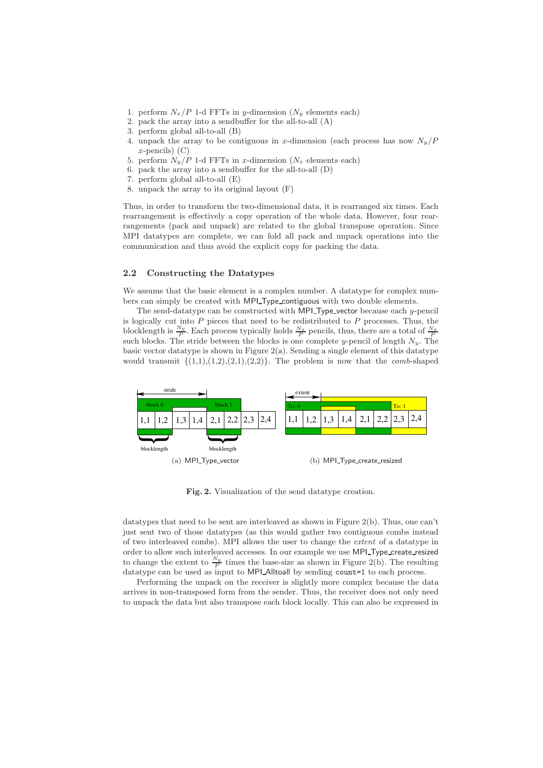- 1. perform  $N_x/P$  1-d FFTs in y-dimension  $(N_y$  elements each)
- 2. pack the array into a sendbuffer for the all-to-all (A)
- 3. perform global all-to-all (B)
- 4. unpack the array to be contiguous in x-dimension (each process has now  $N_y/P$  $x$ -pencils)  $(C)$
- 5. perform  $N_y/P$  1-d FFTs in x-dimension  $(N_x$  elements each)
- 6. pack the array into a sendbuffer for the all-to-all (D)
- 7. perform global all-to-all (E)
- 8. unpack the array to its original layout (F)

Thus, in order to transform the two-dimensional data, it is rearranged six times. Each rearrangement is effectively a copy operation of the whole data. However, four rearrangements (pack and unpack) are related to the global transpose operation. Since MPI datatypes are complete, we can fold all pack and unpack operations into the communication and thus avoid the explicit copy for packing the data.

## 2.2 Constructing the Datatypes

We assume that the basic element is a complex number. A datatype for complex numbers can simply be created with MPI Type contiguous with two double elements.

The send-datatype can be constructed with MPI Type vector because each y-pencil is logically cut into  $P$  pieces that need to be redistributed to  $P$  processes. Thus, the blocklength is  $\frac{N_y}{P}$ . Each process typically holds  $\frac{N_x}{P}$  pencils, thus, there are a total of  $\frac{N_x}{P}$  such blocks. The stride between the blocks is one complete y-pencil of length  $N_y$ . The basic vector datatype is shown in Figure 2(a). Sending a single element of this datatype would transmit  $\{(1,1),(1,2),(2,1),(2,2)\}.$  The problem is now that the *comb*-shaped



Fig. 2. Visualization of the send datatype creation.

datatypes that need to be sent are interleaved as shown in Figure  $2(b)$ . Thus, one can't just sent two of those datatypes (as this would gather two contiguous combs instead of two interleaved combs). MPI allows the user to change the extent of a datatype in order to allow such interleaved accesses. In our example we use MPI\_Type\_create\_resized to change the extent to  $\frac{N_y}{P}$  times the base-size as shown in Figure 2(b). The resulting datatype can be used as input to MPI Alltoall by sending count=1 to each process.

Performing the unpack on the receiver is slightly more complex because the data arrives in non-transposed form from the sender. Thus, the receiver does not only need to unpack the data but also transpose each block locally. This can also be expressed in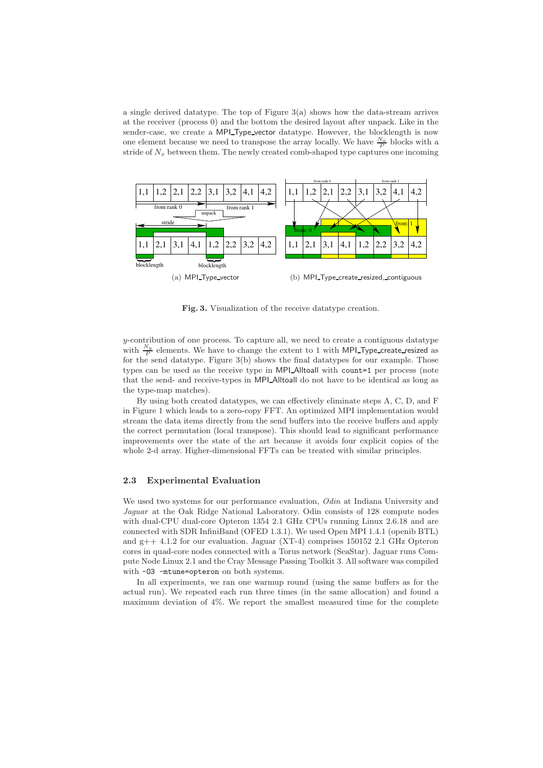a single derived datatype. The top of Figure 3(a) shows how the data-stream arrives at the receiver (process 0) and the bottom the desired layout after unpack. Like in the sender-case, we create a MPI\_Type\_vector datatype. However, the blocklength is now one element because we need to transpose the array locally. We have  $\frac{N_x}{P}$  blocks with a stride of  $N_x$  between them. The newly created comb-shaped type captures one incoming



Fig. 3. Visualization of the receive datatype creation.

 $y$ -contribution of one process. To capture all, we need to create a contiguous datatype with  $\frac{N_y}{P}$  elements. We have to change the extent to 1 with MPI Type create resized as for the send datatype. Figure 3(b) shows the final datatypes for our example. Those types can be used as the receive type in MPI Alltoall with count=1 per process (note that the send- and receive-types in MPI Alltoall do not have to be identical as long as the type-map matches).

By using both created datatypes, we can effectively eliminate steps A, C, D, and F in Figure 1 which leads to a zero-copy FFT. An optimized MPI implementation would stream the data items directly from the send buffers into the receive buffers and apply the correct permutation (local transpose). This should lead to significant performance improvements over the state of the art because it avoids four explicit copies of the whole 2-d array. Higher-dimensional FFTs can be treated with similar principles.

#### 2.3 Experimental Evaluation

We used two systems for our performance evaluation, *Odin* at Indiana University and Jaguar at the Oak Ridge National Laboratory. Odin consists of 128 compute nodes with dual-CPU dual-core Opteron 1354 2.1 GHz CPUs running Linux 2.6.18 and are connected with SDR InfiniBand (OFED 1.3.1). We used Open MPI 1.4.1 (openib BTL) and  $g++ 4.1.2$  for our evaluation. Jaguar (XT-4) comprises 150152 2.1 GHz Opteron cores in quad-core nodes connected with a Torus network (SeaStar). Jaguar runs Compute Node Linux 2.1 and the Cray Message Passing Toolkit 3. All software was compiled with -O3 -mtune=opteron on both systems.

In all experiments, we ran one warmup round (using the same buffers as for the actual run). We repeated each run three times (in the same allocation) and found a maximum deviation of 4%. We report the smallest measured time for the complete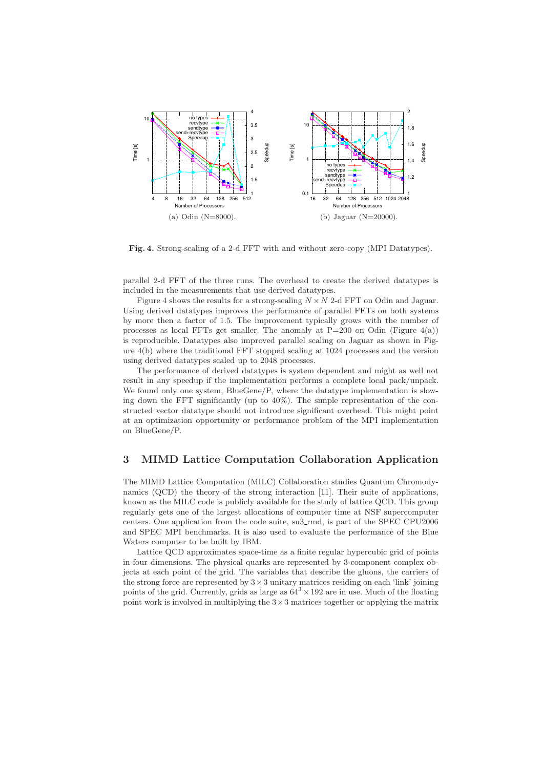

Fig. 4. Strong-scaling of a 2-d FFT with and without zero-copy (MPI Datatypes).

parallel 2-d FFT of the three runs. The overhead to create the derived datatypes is included in the measurements that use derived datatypes.

Figure 4 shows the results for a strong-scaling  $N \times N$  2-d FFT on Odin and Jaguar. Using derived datatypes improves the performance of parallel FFTs on both systems by more then a factor of 1.5. The improvement typically grows with the number of processes as local FFTs get smaller. The anomaly at  $P=200$  on Odin (Figure 4(a)) is reproducible. Datatypes also improved parallel scaling on Jaguar as shown in Figure 4(b) where the traditional FFT stopped scaling at 1024 processes and the version using derived datatypes scaled up to 2048 processes.

The performance of derived datatypes is system dependent and might as well not result in any speedup if the implementation performs a complete local pack/unpack. We found only one system, BlueGene/P, where the datatype implementation is slowing down the FFT significantly (up to 40%). The simple representation of the constructed vector datatype should not introduce significant overhead. This might point at an optimization opportunity or performance problem of the MPI implementation on BlueGene/P.

## 3 MIMD Lattice Computation Collaboration Application

The MIMD Lattice Computation (MILC) Collaboration studies Quantum Chromodynamics (QCD) the theory of the strong interaction [11]. Their suite of applications, known as the MILC code is publicly available for the study of lattice QCD. This group regularly gets one of the largest allocations of computer time at NSF supercomputer centers. One application from the code suite, su3 rmd, is part of the SPEC CPU2006 and SPEC MPI benchmarks. It is also used to evaluate the performance of the Blue Waters computer to be built by IBM.

Lattice QCD approximates space-time as a finite regular hypercubic grid of points in four dimensions. The physical quarks are represented by 3-component complex objects at each point of the grid. The variables that describe the gluons, the carriers of the strong force are represented by  $3 \times 3$  unitary matrices residing on each 'link' joining points of the grid. Currently, grids as large as  $64^3 \times 192$  are in use. Much of the floating point work is involved in multiplying the  $3\times 3$  matrices together or applying the matrix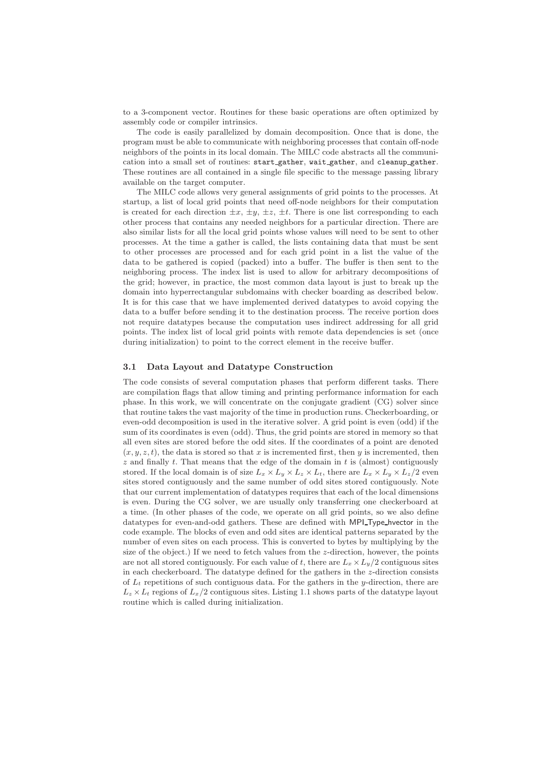to a 3-component vector. Routines for these basic operations are often optimized by assembly code or compiler intrinsics.

The code is easily parallelized by domain decomposition. Once that is done, the program must be able to communicate with neighboring processes that contain off-node neighbors of the points in its local domain. The MILC code abstracts all the communication into a small set of routines: start gather, wait gather, and cleanup gather. These routines are all contained in a single file specific to the message passing library available on the target computer.

The MILC code allows very general assignments of grid points to the processes. At startup, a list of local grid points that need off-node neighbors for their computation is created for each direction  $\pm x$ ,  $\pm y$ ,  $\pm z$ ,  $\pm t$ . There is one list corresponding to each other process that contains any needed neighbors for a particular direction. There are also similar lists for all the local grid points whose values will need to be sent to other processes. At the time a gather is called, the lists containing data that must be sent to other processes are processed and for each grid point in a list the value of the data to be gathered is copied (packed) into a buffer. The buffer is then sent to the neighboring process. The index list is used to allow for arbitrary decompositions of the grid; however, in practice, the most common data layout is just to break up the domain into hyperrectangular subdomains with checker boarding as described below. It is for this case that we have implemented derived datatypes to avoid copying the data to a buffer before sending it to the destination process. The receive portion does not require datatypes because the computation uses indirect addressing for all grid points. The index list of local grid points with remote data dependencies is set (once during initialization) to point to the correct element in the receive buffer.

#### 3.1 Data Layout and Datatype Construction

The code consists of several computation phases that perform different tasks. There are compilation flags that allow timing and printing performance information for each phase. In this work, we will concentrate on the conjugate gradient (CG) solver since that routine takes the vast majority of the time in production runs. Checkerboarding, or even-odd decomposition is used in the iterative solver. A grid point is even (odd) if the sum of its coordinates is even (odd). Thus, the grid points are stored in memory so that all even sites are stored before the odd sites. If the coordinates of a point are denoted  $(x, y, z, t)$ , the data is stored so that x is incremented first, then y is incremented, then  $z$  and finally  $t$ . That means that the edge of the domain in  $t$  is (almost) contiguously stored. If the local domain is of size  $L_x \times L_y \times L_z \times L_t$ , there are  $L_x \times L_y \times L_z/2$  even sites stored contiguously and the same number of odd sites stored contiguously. Note that our current implementation of datatypes requires that each of the local dimensions is even. During the CG solver, we are usually only transferring one checkerboard at a time. (In other phases of the code, we operate on all grid points, so we also define datatypes for even-and-odd gathers. These are defined with MPI Type hvector in the code example. The blocks of even and odd sites are identical patterns separated by the number of even sites on each process. This is converted to bytes by multiplying by the size of the object.) If we need to fetch values from the  $z$ -direction, however, the points are not all stored contiguously. For each value of t, there are  $L_x \times L_y/2$  contiguous sites in each checkerboard. The datatype defined for the gathers in the z-direction consists of  $L_t$  repetitions of such contiguous data. For the gathers in the y-direction, there are  $L_z \times L_t$  regions of  $L_x/2$  contiguous sites. Listing 1.1 shows parts of the datatype layout routine which is called during initialization.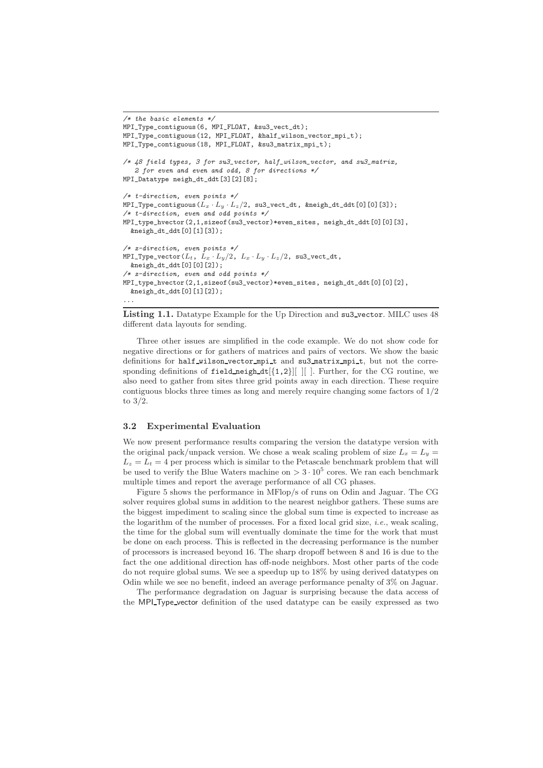```
/* the basic elements *MPI_Type_contiguous(6, MPI_FLOAT, &su3_vect_dt);
MPI_Type_contiguous(12, MPI_FLOAT, &half_wilson_vector_mpi_t);
MPI_Type_contiguous(18, MPI_FLOAT, &su3_matrix_mpi_t);
/* 48 field types, 3 for su3_vector, half_wilson_vector, and su3_matrix,
   2 for even and even and odd, 8 for directions */
MPI_Datatype neigh_dt_ddt[3][2][8];
/* t-direction, even points */
MPI_Type_contiguous(L_x \cdot L_y \cdot L_z/2, su3_vect_dt, &neigh_dt_ddt[0][0][3]);
/* t-direction, even and odd points */
MPI_type_hvector(2,1,sizeof(su3_vector)*even_sites, neigh_dt_ddt[0][0][3],
  &neigh_dt_ddt[0][1][3]);
/* z-direction, even points */
MPI_Type_vector(L_t, L_x \cdot L_y/2, L_x \cdot L_y \cdot L_z/2, su3_vect_dt,
  &neigh_dt_ddt[0][0][2]);
/* z-direction, even and odd points */
MPI_type_hvector(2,1,sizeof(su3_vector)*even_sites, neigh_dt_ddt[0][0][2],
  &neigh_dt_ddt[0][1][2]);
...
```
Listing 1.1. Datatype Example for the Up Direction and su3\_vector. MILC uses 48 different data layouts for sending.

Three other issues are simplified in the code example. We do not show code for negative directions or for gathers of matrices and pairs of vectors. We show the basic definitions for half wilson vector mpi t and su3 matrix mpi t, but not the corresponding definitions of field neigh  $dt[{1,2}]$  [ ]. Further, for the CG routine, we also need to gather from sites three grid points away in each direction. These require contiguous blocks three times as long and merely require changing some factors of 1/2 to 3/2.

### 3.2 Experimental Evaluation

We now present performance results comparing the version the datatype version with the original pack/unpack version. We chose a weak scaling problem of size  $L_x = L_y$  $L_z = L_t = 4$  per process which is similar to the Petascale benchmark problem that will be used to verify the Blue Waters machine on  $> 3 \cdot 10^5$  cores. We ran each benchmark multiple times and report the average performance of all CG phases.

Figure 5 shows the performance in MFlop/s of runs on Odin and Jaguar. The CG solver requires global sums in addition to the nearest neighbor gathers. These sums are the biggest impediment to scaling since the global sum time is expected to increase as the logarithm of the number of processes. For a fixed local grid size, *i.e.*, weak scaling, the time for the global sum will eventually dominate the time for the work that must be done on each process. This is reflected in the decreasing performance is the number of processors is increased beyond 16. The sharp dropoff between 8 and 16 is due to the fact the one additional direction has off-node neighbors. Most other parts of the code do not require global sums. We see a speedup up to 18% by using derived datatypes on Odin while we see no benefit, indeed an average performance penalty of 3% on Jaguar.

The performance degradation on Jaguar is surprising because the data access of the MPI Type vector definition of the used datatype can be easily expressed as two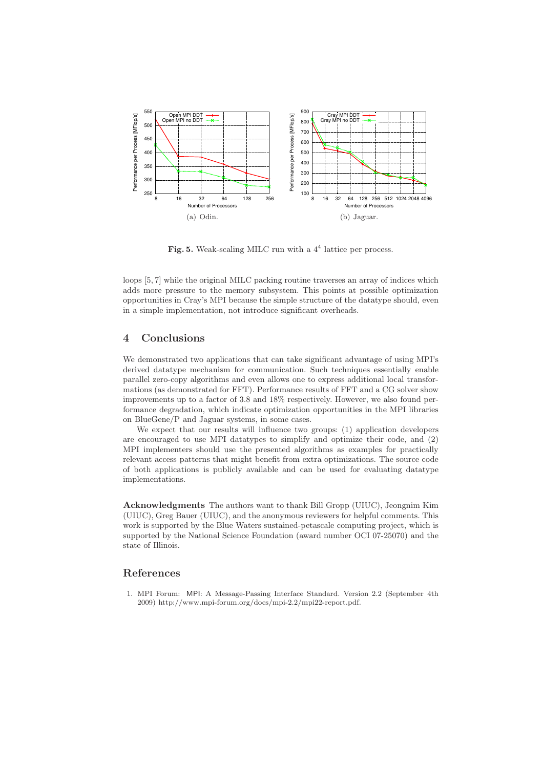

Fig. 5. Weak-scaling MILC run with a  $4<sup>4</sup>$  lattice per process.

loops [5, 7] while the original MILC packing routine traverses an array of indices which adds more pressure to the memory subsystem. This points at possible optimization opportunities in Cray's MPI because the simple structure of the datatype should, even in a simple implementation, not introduce significant overheads.

# 4 Conclusions

We demonstrated two applications that can take significant advantage of using MPI's derived datatype mechanism for communication. Such techniques essentially enable parallel zero-copy algorithms and even allows one to express additional local transformations (as demonstrated for FFT). Performance results of FFT and a CG solver show improvements up to a factor of 3.8 and 18% respectively. However, we also found performance degradation, which indicate optimization opportunities in the MPI libraries on BlueGene/P and Jaguar systems, in some cases.

We expect that our results will influence two groups: (1) application developers are encouraged to use MPI datatypes to simplify and optimize their code, and (2) MPI implementers should use the presented algorithms as examples for practically relevant access patterns that might benefit from extra optimizations. The source code of both applications is publicly available and can be used for evaluating datatype implementations.

Acknowledgments The authors want to thank Bill Gropp (UIUC), Jeongnim Kim (UIUC), Greg Bauer (UIUC), and the anonymous reviewers for helpful comments. This work is supported by the Blue Waters sustained-petascale computing project, which is supported by the National Science Foundation (award number OCI 07-25070) and the state of Illinois.

## References

1. MPI Forum: MPI: A Message-Passing Interface Standard. Version 2.2 (September 4th 2009) http://www.mpi-forum.org/docs/mpi-2.2/mpi22-report.pdf.